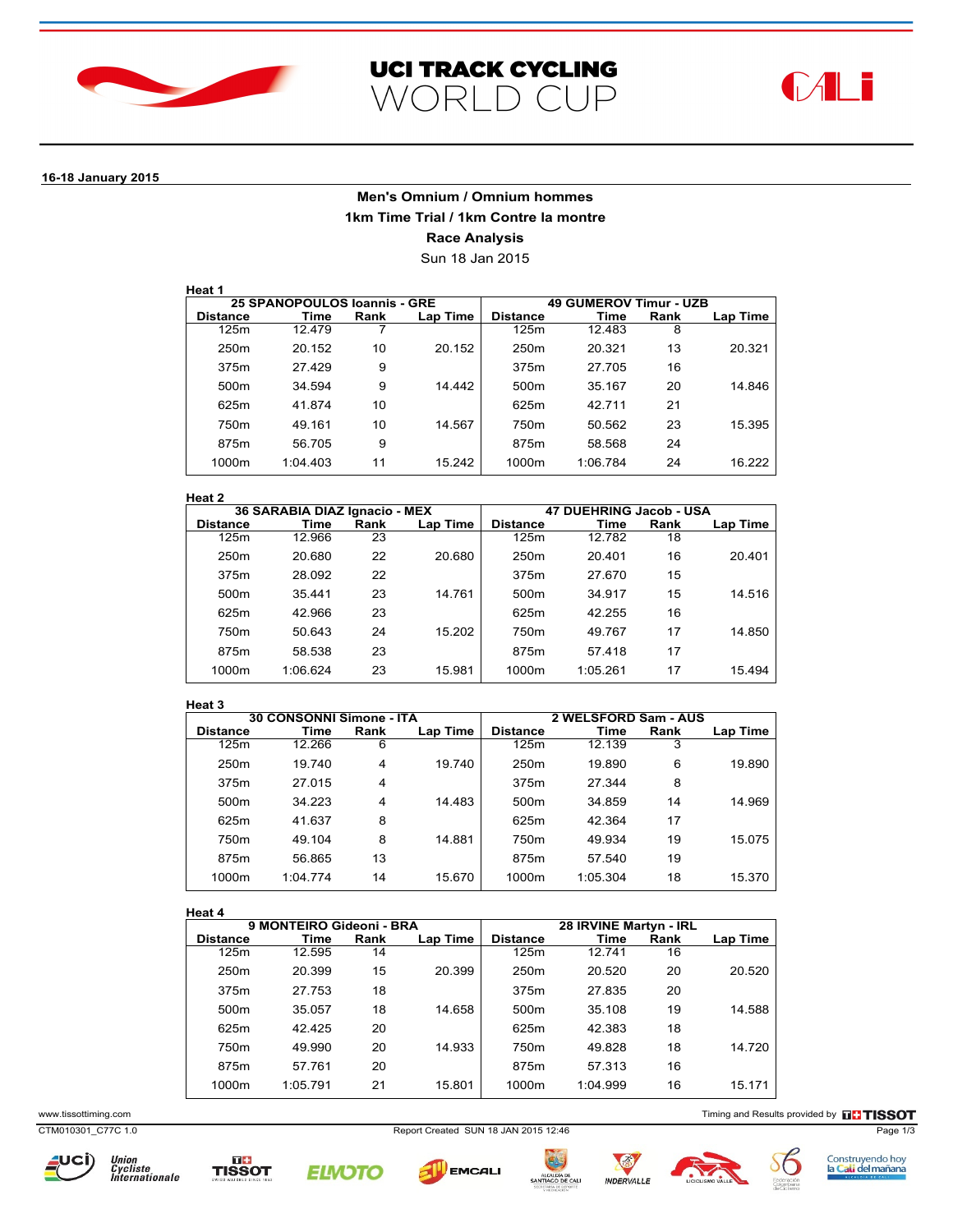





# **16-18 January 2015**

# **Men's Omnium / Omnium hommes 1km Time Trial / 1km Contre la montre Race Analysis**

Sun 18 Jan 2015

| Heat |  |
|------|--|
|      |  |

|                  | 25 SPANOPOULOS Ioannis - GRE |      |          | <b>49 GUMEROV Timur - UZB</b> |          |      |          |
|------------------|------------------------------|------|----------|-------------------------------|----------|------|----------|
| <b>Distance</b>  | Time                         | Rank | Lap Time | <b>Distance</b>               | Time     | Rank | Lap Time |
| 125m             | 12.479                       |      |          | 125m                          | 12.483   | 8    |          |
| 250 <sub>m</sub> | 20.152                       | 10   | 20.152   | 250 <sub>m</sub>              | 20.321   | 13   | 20.321   |
| 375m             | 27.429                       | 9    |          | 375m                          | 27.705   | 16   |          |
| 500 <sub>m</sub> | 34.594                       | 9    | 14.442   | 500 <sub>m</sub>              | 35.167   | 20   | 14.846   |
| 625m             | 41.874                       | 10   |          | 625m                          | 42.711   | 21   |          |
| 750 <sub>m</sub> | 49.161                       | 10   | 14.567   | 750m                          | 50.562   | 23   | 15.395   |
| 875m             | 56.705                       | 9    |          | 875m                          | 58.568   | 24   |          |
| 1000m            | 1:04.403                     | 11   | 15.242   | 1000m                         | 1:06.784 | 24   | 16.222   |

### **Heat 2**

|                  | 36 SARABIA DIAZ Ignacio - MEX |      |          | 47 DUEHRING Jacob - USA |          |      |          |
|------------------|-------------------------------|------|----------|-------------------------|----------|------|----------|
| <b>Distance</b>  | Time                          | Rank | Lap Time | <b>Distance</b>         | Time     | Rank | Lap Time |
| 125m             | 12.966                        | 23   |          | 125m                    | 12.782   | 18   |          |
| 250 <sub>m</sub> | 20.680                        | 22   | 20.680   | 250 <sub>m</sub>        | 20.401   | 16   | 20.401   |
| 375m             | 28.092                        | 22   |          | 375m                    | 27.670   | 15   |          |
| 500 <sub>m</sub> | 35.441                        | 23   | 14.761   | 500m                    | 34.917   | 15   | 14.516   |
| 625m             | 42.966                        | 23   |          | 625m                    | 42.255   | 16   |          |
| 750m             | 50.643                        | 24   | 15.202   | 750m                    | 49.767   | 17   | 14.850   |
| 875m             | 58.538                        | 23   |          | 875m                    | 57.418   | 17   |          |
| 1000m            | 1:06.624                      | 23   | 15.981   | 1000m                   | 1:05.261 | 17   | 15.494   |

#### **Heat 3**

|                  | 30 CONSONNI Simone - ITA |      |          | 2 WELSFORD Sam - AUS |          |      |          |
|------------------|--------------------------|------|----------|----------------------|----------|------|----------|
| <b>Distance</b>  | Time                     | Rank | Lap Time | <b>Distance</b>      | Time     | Rank | Lap Time |
| 125m             | 12.266                   | 6    |          | 125m                 | 12.139   | 3    |          |
| 250 <sub>m</sub> | 19.740                   | 4    | 19.740   | 250m                 | 19.890   | 6    | 19.890   |
| 375m             | 27.015                   | 4    |          | 375m                 | 27.344   | 8    |          |
| 500 <sub>m</sub> | 34.223                   | 4    | 14.483   | 500 <sub>m</sub>     | 34.859   | 14   | 14.969   |
| 625m             | 41.637                   | 8    |          | 625m                 | 42.364   | 17   |          |
| 750m             | 49.104                   | 8    | 14.881   | 750m                 | 49.934   | 19   | 15.075   |
| 875m             | 56.865                   | 13   |          | 875m                 | 57.540   | 19   |          |
| 1000m            | 1:04.774                 | 14   | 15.670   | 1000m                | 1:05.304 | 18   | 15.370   |
|                  |                          |      |          |                      |          |      |          |

## **Heat 4**

| пеат 4           |                          |      |          |                        |          |      |          |
|------------------|--------------------------|------|----------|------------------------|----------|------|----------|
|                  | 9 MONTEIRO Gideoni - BRA |      |          | 28 IRVINE Martyn - IRL |          |      |          |
| <b>Distance</b>  | Time                     | Rank | Lap Time | <b>Distance</b>        | Time     | Rank | Lap Time |
| 125m             | 12.595                   | 14   |          | 125m                   | 12.741   | 16   |          |
| 250 <sub>m</sub> | 20.399                   | 15   | 20.399   | 250 <sub>m</sub>       | 20.520   | 20   | 20.520   |
| 375m             | 27.753                   | 18   |          | 375m                   | 27.835   | 20   |          |
| 500 <sub>m</sub> | 35.057                   | 18   | 14.658   | 500 <sub>m</sub>       | 35.108   | 19   | 14.588   |
| 625m             | 42.425                   | 20   |          | 625m                   | 42.383   | 18   |          |
| 750m             | 49.990                   | 20   | 14.933   | 750m                   | 49.828   | 18   | 14.720   |
| 875m             | 57.761                   | 20   |          | 875m                   | 57.313   | 16   |          |
| 1000m            | 1:05.791                 | 21   | 15.801   | 1000m                  | 1:04.999 | 16   | 15.171   |

www.tissottiming.com **Timing and Results provided by THSSOT** 

CTM010301\_C77C 1.0 Report Created SUN 18 JAN 2015 12:46 Page 1/3















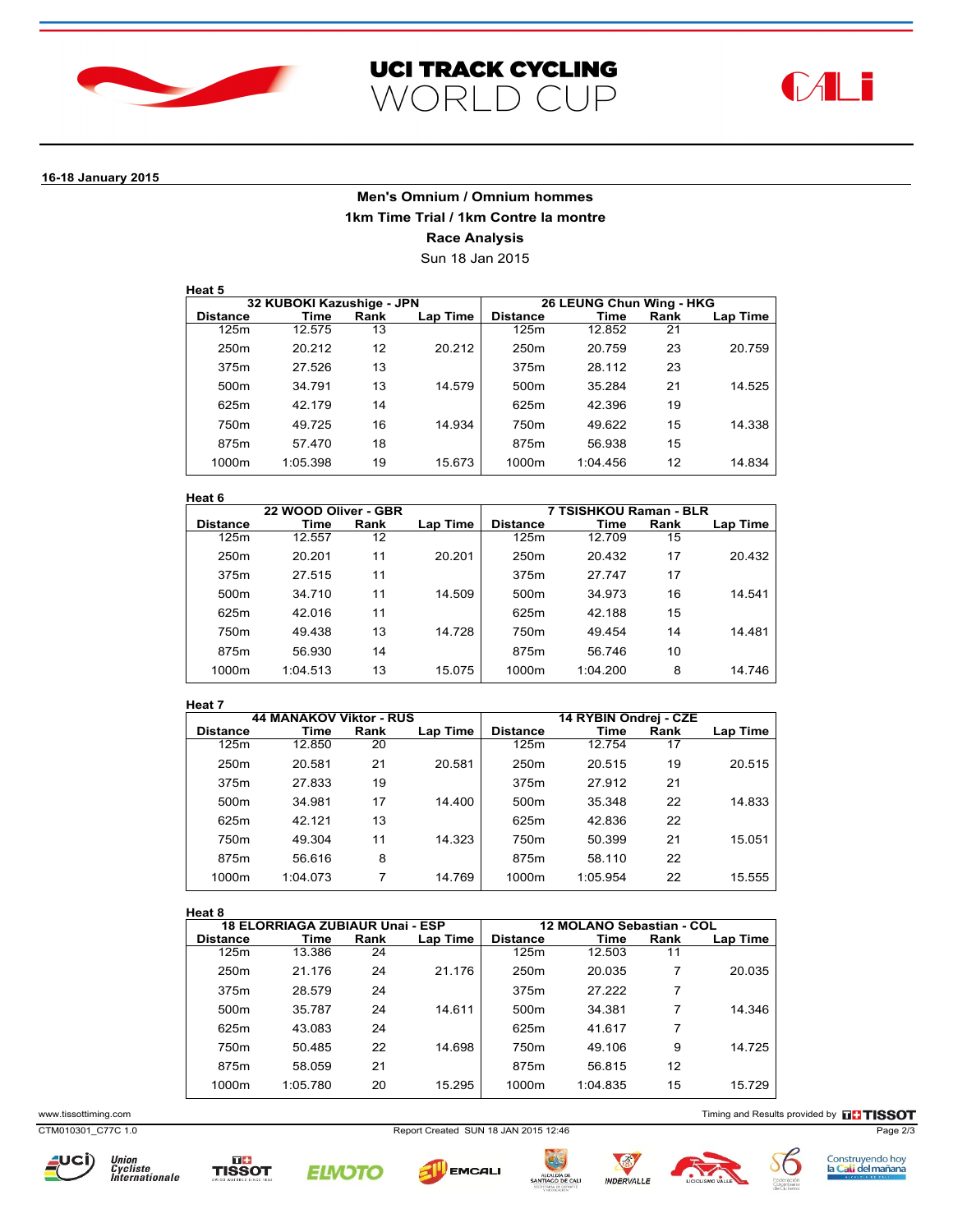





# **16-18 January 2015**

# **Men's Omnium / Omnium hommes 1km Time Trial / 1km Contre la montre Race Analysis**

Sun 18 Jan 2015

| неат |  |
|------|--|
|      |  |

|                  | 32 KUBOKI Kazushige - JPN |      |          | 26 LEUNG Chun Wing - HKG |          |      |          |  |
|------------------|---------------------------|------|----------|--------------------------|----------|------|----------|--|
| <b>Distance</b>  | Time                      | Rank | Lap Time | <b>Distance</b>          | Time     | Rank | Lap Time |  |
| 125m             | 12.575                    | 13   |          | 125m                     | 12.852   | 21   |          |  |
| 250 <sub>m</sub> | 20.212                    | 12   | 20.212   | 250 <sub>m</sub>         | 20.759   | 23   | 20.759   |  |
| 375m             | 27.526                    | 13   |          | 375m                     | 28.112   | 23   |          |  |
| 500 <sub>m</sub> | 34.791                    | 13   | 14.579   | 500 <sub>m</sub>         | 35.284   | 21   | 14.525   |  |
| 625m             | 42.179                    | 14   |          | 625m                     | 42.396   | 19   |          |  |
| 750m             | 49.725                    | 16   | 14.934   | 750m                     | 49.622   | 15   | 14.338   |  |
| 875m             | 57.470                    | 18   |          | 875m                     | 56.938   | 15   |          |  |
| 1000m            | 1:05.398                  | 19   | 15.673   | 1000m                    | 1:04.456 | 12   | 14.834   |  |

### **Heat 6**

|                  | 22 WOOD Oliver - GBR |      |          | 7 TSISHKOU Raman - BLR |          |      |          |
|------------------|----------------------|------|----------|------------------------|----------|------|----------|
| <b>Distance</b>  | Time                 | Rank | Lap Time | <b>Distance</b>        | Time     | Rank | Lap Time |
| 125m             | 12.557               | 12   |          | 125m                   | 12.709   | 15   |          |
| 250 <sub>m</sub> | 20.201               | 11   | 20.201   | 250m                   | 20.432   | 17   | 20.432   |
| 375m             | 27.515               | 11   |          | 375m                   | 27.747   | 17   |          |
| 500 <sub>m</sub> | 34.710               | 11   | 14.509   | 500m                   | 34.973   | 16   | 14.541   |
| 625m             | 42.016               | 11   |          | 625m                   | 42.188   | 15   |          |
| 750 <sub>m</sub> | 49.438               | 13   | 14.728   | 750m                   | 49.454   | 14   | 14.481   |
| 875m             | 56.930               | 14   |          | 875m                   | 56.746   | 10   |          |
| 1000m            | 1:04.513             | 13   | 15.075   | 1000m                  | 1:04.200 | 8    | 14.746   |

#### **Heat 7**

| .                |                                |      |          |                       |          |      |          |
|------------------|--------------------------------|------|----------|-----------------------|----------|------|----------|
|                  | <b>44 MANAKOV Viktor - RUS</b> |      |          | 14 RYBIN Ondrej - CZE |          |      |          |
| <b>Distance</b>  | Time                           | Rank | Lap Time | <b>Distance</b>       | Time     | Rank | Lap Time |
| 125m             | 12.850                         | 20   |          | 125m                  | 12.754   | 17   |          |
| 250 <sub>m</sub> | 20.581                         | 21   | 20.581   | 250 <sub>m</sub>      | 20.515   | 19   | 20.515   |
| 375m             | 27.833                         | 19   |          | 375m                  | 27.912   | 21   |          |
| 500 <sub>m</sub> | 34.981                         | 17   | 14.400   | 500m                  | 35.348   | 22   | 14.833   |
| 625m             | 42.121                         | 13   |          | 625m                  | 42.836   | 22   |          |
| 750m             | 49.304                         | 11   | 14.323   | 750m                  | 50.399   | 21   | 15.051   |
| 875m             | 56.616                         | 8    |          | 875m                  | 58.110   | 22   |          |
| 1000m            | 1:04.073                       | 7    | 14.769   | 1000m                 | 1:05.954 | 22   | 15.555   |
|                  |                                |      |          |                       |          |      |          |

## **Heat 8**

| near o           |                                        |      |          |                           |          |      |          |
|------------------|----------------------------------------|------|----------|---------------------------|----------|------|----------|
|                  | <b>18 ELORRIAGA ZUBIAUR Unai - ESP</b> |      |          | 12 MOLANO Sebastian - COL |          |      |          |
| <b>Distance</b>  | Time                                   | Rank | Lap Time | <b>Distance</b>           | Time     | Rank | Lap Time |
| 125m             | 13.386                                 | 24   |          | 125m                      | 12.503   | 11   |          |
| 250 <sub>m</sub> | 21.176                                 | 24   | 21.176   | 250 <sub>m</sub>          | 20.035   | 7    | 20.035   |
| 375m             | 28.579                                 | 24   |          | 375m                      | 27.222   | 7    |          |
| 500 <sub>m</sub> | 35.787                                 | 24   | 14.611   | 500m                      | 34.381   | 7    | 14.346   |
| 625m             | 43.083                                 | 24   |          | 625m                      | 41.617   | 7    |          |
| 750m             | 50.485                                 | 22   | 14.698   | 750m                      | 49.106   | 9    | 14.725   |
| 875m             | 58.059                                 | 21   |          | 875m                      | 56.815   | 12   |          |
| 1000m            | 1:05.780                               | 20   | 15.295   | 1000m                     | 1:04.835 | 15   | 15.729   |
|                  |                                        |      |          |                           |          |      |          |

www.tissottiming.com **Timing and Results provided by THSSOT** 

CTM010301\_C77C 1.0 Report Created SUN 18 JAN 2015 12:46 Page 2/3